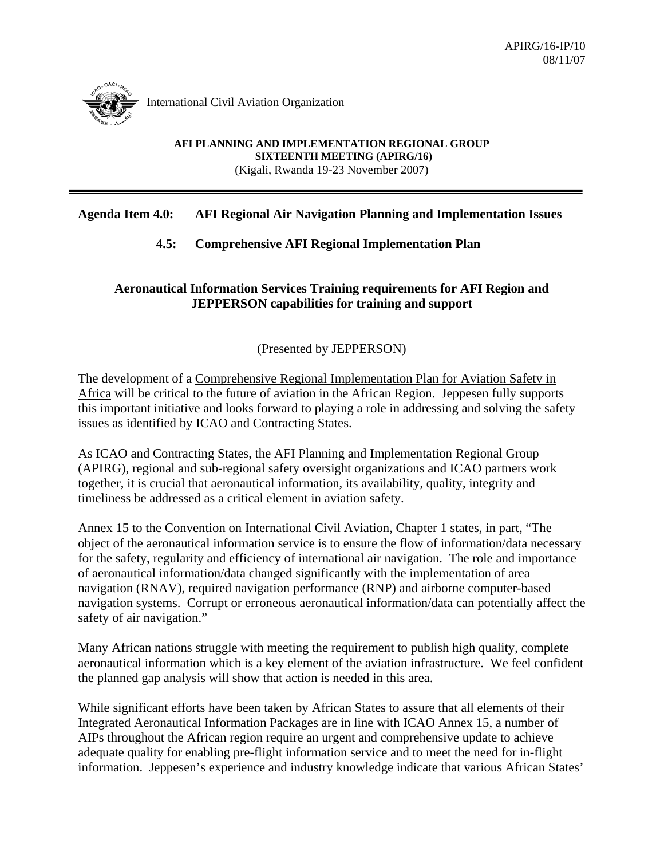

International Civil Aviation Organization

**AFI PLANNING AND IMPLEMENTATION REGIONAL GROUP SIXTEENTH MEETING (APIRG/16)**  (Kigali, Rwanda 19-23 November 2007)

## **Agenda Item 4.0: AFI Regional Air Navigation Planning and Implementation Issues**

## **4.5: Comprehensive AFI Regional Implementation Plan**

## **Aeronautical Information Services Training requirements for AFI Region and JEPPERSON capabilities for training and support**

## (Presented by JEPPERSON)

The development of a Comprehensive Regional Implementation Plan for Aviation Safety in Africa will be critical to the future of aviation in the African Region. Jeppesen fully supports this important initiative and looks forward to playing a role in addressing and solving the safety issues as identified by ICAO and Contracting States.

As ICAO and Contracting States, the AFI Planning and Implementation Regional Group (APIRG), regional and sub-regional safety oversight organizations and ICAO partners work together, it is crucial that aeronautical information, its availability, quality, integrity and timeliness be addressed as a critical element in aviation safety.

Annex 15 to the Convention on International Civil Aviation, Chapter 1 states, in part, "The object of the aeronautical information service is to ensure the flow of information/data necessary for the safety, regularity and efficiency of international air navigation. The role and importance of aeronautical information/data changed significantly with the implementation of area navigation (RNAV), required navigation performance (RNP) and airborne computer-based navigation systems. Corrupt or erroneous aeronautical information/data can potentially affect the safety of air navigation."

Many African nations struggle with meeting the requirement to publish high quality, complete aeronautical information which is a key element of the aviation infrastructure. We feel confident the planned gap analysis will show that action is needed in this area.

While significant efforts have been taken by African States to assure that all elements of their Integrated Aeronautical Information Packages are in line with ICAO Annex 15, a number of AIPs throughout the African region require an urgent and comprehensive update to achieve adequate quality for enabling pre-flight information service and to meet the need for in-flight information. Jeppesen's experience and industry knowledge indicate that various African States'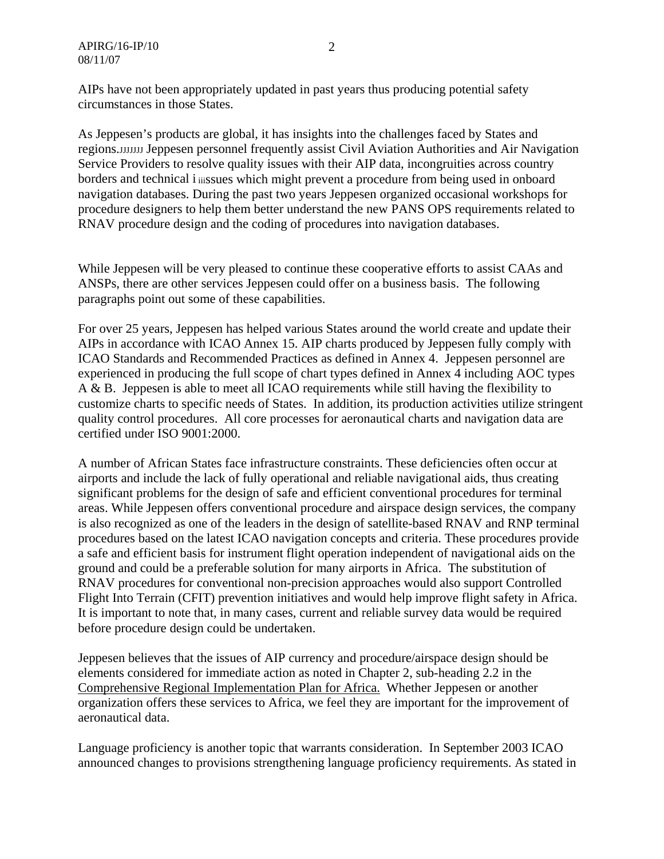AIPs have not been appropriately updated in past years thus producing potential safety circumstances in those States.

As Jeppesen's products are global, it has insights into the challenges faced by States and regions. JJJJJJJJJ Jeppesen personnel frequently assist Civil Aviation Authorities and Air Navigation Service Providers to resolve quality issues with their AIP data, incongruities across country borders and technical i iiissues which might prevent a procedure from being used in onboard navigation databases. During the past two years Jeppesen organized occasional workshops for procedure designers to help them better understand the new PANS OPS requirements related to RNAV procedure design and the coding of procedures into navigation databases.

While Jeppesen will be very pleased to continue these cooperative efforts to assist CAAs and ANSPs, there are other services Jeppesen could offer on a business basis. The following paragraphs point out some of these capabilities.

For over 25 years, Jeppesen has helped various States around the world create and update their AIPs in accordance with ICAO Annex 15. AIP charts produced by Jeppesen fully comply with ICAO Standards and Recommended Practices as defined in Annex 4. Jeppesen personnel are experienced in producing the full scope of chart types defined in Annex 4 including AOC types A & B. Jeppesen is able to meet all ICAO requirements while still having the flexibility to customize charts to specific needs of States. In addition, its production activities utilize stringent quality control procedures. All core processes for aeronautical charts and navigation data are certified under ISO 9001:2000.

A number of African States face infrastructure constraints. These deficiencies often occur at airports and include the lack of fully operational and reliable navigational aids, thus creating significant problems for the design of safe and efficient conventional procedures for terminal areas. While Jeppesen offers conventional procedure and airspace design services, the company is also recognized as one of the leaders in the design of satellite-based RNAV and RNP terminal procedures based on the latest ICAO navigation concepts and criteria. These procedures provide a safe and efficient basis for instrument flight operation independent of navigational aids on the ground and could be a preferable solution for many airports in Africa. The substitution of RNAV procedures for conventional non-precision approaches would also support Controlled Flight Into Terrain (CFIT) prevention initiatives and would help improve flight safety in Africa. It is important to note that, in many cases, current and reliable survey data would be required before procedure design could be undertaken.

Jeppesen believes that the issues of AIP currency and procedure/airspace design should be elements considered for immediate action as noted in Chapter 2, sub-heading 2.2 in the Comprehensive Regional Implementation Plan for Africa. Whether Jeppesen or another organization offers these services to Africa, we feel they are important for the improvement of aeronautical data.

Language proficiency is another topic that warrants consideration. In September 2003 ICAO announced changes to provisions strengthening language proficiency requirements. As stated in